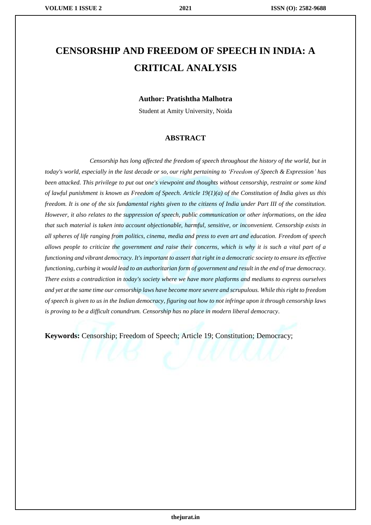# **CENSORSHIP AND FREEDOM OF SPEECH IN INDIA: A CRITICAL ANALYSIS**

#### **Author: Pratishtha Malhotra**

Student at Amity University, Noida

#### **ABSTRACT**

*Censorship has long affected the freedom of speech throughout the history of the world, but in today's world, especially in the last decade or so, our right pertaining to 'Freedom of Speech & Expression' has been attacked. This privilege to put out one's viewpoint and thoughts without censorship, restraint or some kind of lawful punishment is known as Freedom of Speech. Article 19(1)(a) of the Constitution of India gives us this freedom. It is one of the six fundamental rights given to the citizens of India under Part III of the constitution. However, it also relates to the suppression of speech, public communication or other informations, on the idea that such material is taken into account objectionable, harmful, sensitive, or inconvenient. Censorship exists in all spheres of life ranging from politics, cinema, media and press to even art and education. Freedom of speech allows people to criticize the government and raise their concerns, which is why it is such a vital part of a functioning and vibrant democracy. It's important to assert that right in a democratic society to ensure its effective functioning, curbing it would lead to an authoritarian form of government and result in the end of true democracy. There exists a contradiction in today's society where we have more platforms and mediums to express ourselves and yet at the same time our censorship laws have become more severe and scrupulous. While this right to freedom of speech is given to us in the Indian democracy, figuring out how to not infringe upon it through censorship laws is proving to be a difficult conundrum. Censorship has no place in modern liberal democracy.*

**Keywords:** Censorship; Freedom of Speech; Article 19; Constitution; Democracy;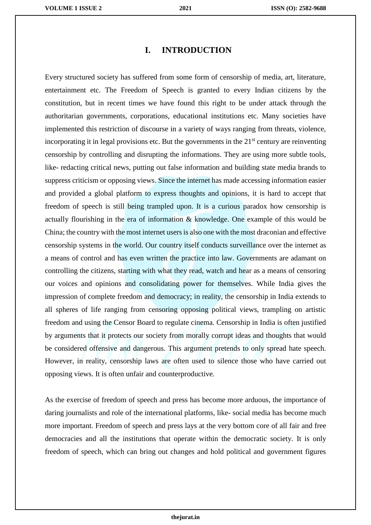#### **I. INTRODUCTION**

Every structured society has suffered from some form of censorship of media, art, literature, entertainment etc. The Freedom of Speech is granted to every Indian citizens by the constitution, but in recent times we have found this right to be under attack through the authoritarian governments, corporations, educational institutions etc. Many societies have implemented this restriction of discourse in a variety of ways ranging from threats, violence, incorporating it in legal provisions etc. But the governments in the  $21<sup>st</sup>$  century are reinventing censorship by controlling and disrupting the informations. They are using more subtle tools, like- redacting critical news, putting out false information and building state media brands to suppress criticism or opposing views. Since the internet has made accessing information easier and provided a global platform to express thoughts and opinions, it is hard to accept that freedom of speech is still being trampled upon. It is a curious paradox how censorship is actually flourishing in the era of information & knowledge. One example of this would be China; the country with the most internet users is also one with the most draconian and effective censorship systems in the world. Our country itself conducts surveillance over the internet as a means of control and has even written the practice into law. Governments are adamant on controlling the citizens, starting with what they read, watch and hear as a means of censoring our voices and opinions and consolidating power for themselves. While India gives the impression of complete freedom and democracy; in reality, the censorship in India extends to all spheres of life ranging from censoring opposing political views, trampling on artistic freedom and using the Censor Board to regulate cinema. Censorship in India is often justified by arguments that it protects our society from morally corrupt ideas and thoughts that would be considered offensive and dangerous. This argument pretends to only spread hate speech. However, in reality, censorship laws are often used to silence those who have carried out opposing views. It is often unfair and counterproductive.

As the exercise of freedom of speech and press has become more arduous, the importance of daring journalists and role of the international platforms, like- social media has become much more important. Freedom of speech and press lays at the very bottom core of all fair and free democracies and all the institutions that operate within the democratic society. It is only freedom of speech, which can bring out changes and hold political and government figures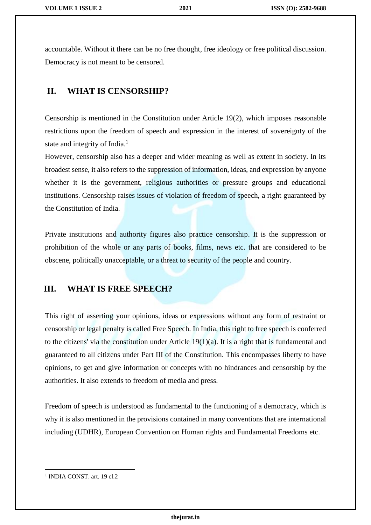accountable. Without it there can be no free thought, free ideology or free political discussion. Democracy is not meant to be censored.

## **II. WHAT IS CENSORSHIP?**

Censorship is mentioned in the Constitution under Article 19(2), which imposes reasonable restrictions upon the freedom of speech and expression in the interest of sovereignty of the state and integrity of India.<sup>1</sup>

However, censorship also has a deeper and wider meaning as well as extent in society. In its broadest sense, it also refers to the suppression of information, ideas, and expression by anyone whether it is the government, religious authorities or pressure groups and educational institutions. Censorship raises issues of violation of freedom of speech, a right guaranteed by the Constitution of India.

Private institutions and authority figures also practice censorship. It is the suppression or prohibition of the whole or any parts of books, films, news etc. that are considered to be obscene, politically unacceptable, or a threat to security of the people and country.

#### **III. WHAT IS FREE SPEECH?**

This right of asserting your opinions, ideas or expressions without any form of restraint or censorship or legal penalty is called Free Speech. In India, this right to free speech is conferred to the citizens' via the constitution under Article 19(1)(a). It is a right that is fundamental and guaranteed to all citizens under Part III of the Constitution. This encompasses liberty to have opinions, to get and give information or concepts with no hindrances and censorship by the authorities. It also extends to freedom of media and press.

Freedom of speech is understood as fundamental to the functioning of a democracy, which is why it is also mentioned in the provisions contained in many conventions that are international including (UDHR), European Convention on Human rights and Fundamental Freedoms etc.

<sup>&</sup>lt;sup>1</sup> INDIA CONST. art. 19 cl.2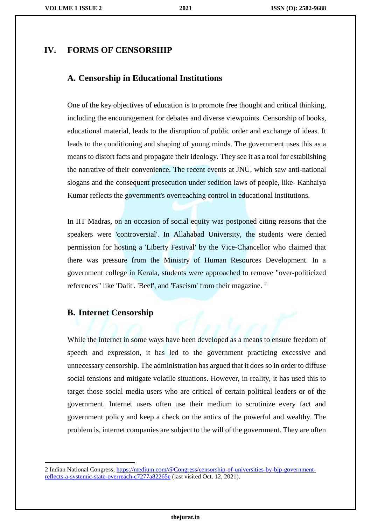#### **IV. FORMS OF CENSORSHIP**

#### **A. Censorship in Educational Institutions**

One of the key objectives of education is to promote free thought and critical thinking, including the encouragement for debates and diverse viewpoints. Censorship of books, educational material, leads to the disruption of public order and exchange of ideas. It leads to the conditioning and shaping of young minds. The government uses this as a means to distort facts and propagate their ideology. They see it as a tool for establishing the narrative of their convenience. The recent events at JNU, which saw anti-national slogans and the consequent prosecution under sedition laws of people, like- Kanhaiya Kumar reflects the government's overreaching control in educational institutions.

In IIT Madras, on an occasion of social equity was postponed citing reasons that the speakers were 'controversial'. In Allahabad University, the students were denied permission for hosting a 'Liberty Festival' by the Vice-Chancellor who claimed that there was pressure from the Ministry of Human Resources Development. In a government college in Kerala, students were approached to remove "over-politicized references" like 'Dalit'. 'Beef', and 'Fascism' from their magazine. <sup>2</sup>

### **B. Internet Censorship**

 $\overline{\phantom{a}}$ 

While the Internet in some ways have been developed as a means to ensure freedom of speech and expression, it has led to the government practicing excessive and unnecessary censorship. The administration has argued that it does so in order to diffuse social tensions and mitigate volatile situations. However, in reality, it has used this to target those social media users who are critical of certain political leaders or of the government. Internet users often use their medium to scrutinize every fact and government policy and keep a check on the antics of the powerful and wealthy. The problem is, internet companies are subject to the will of the government. They are often

<sup>2</sup> Indian National Congress[, https://medium.com/@Congress/censorship-of-universities-by-bjp-government](https://medium.com/@Congress/censorship-of-universities-by-bjp-government-reflects-a-systemic-state-overreach-c7277a82265e)[reflects-a-systemic-state-overreach-c7277a82265e](https://medium.com/@Congress/censorship-of-universities-by-bjp-government-reflects-a-systemic-state-overreach-c7277a82265e) (last visited Oct. 12, 2021).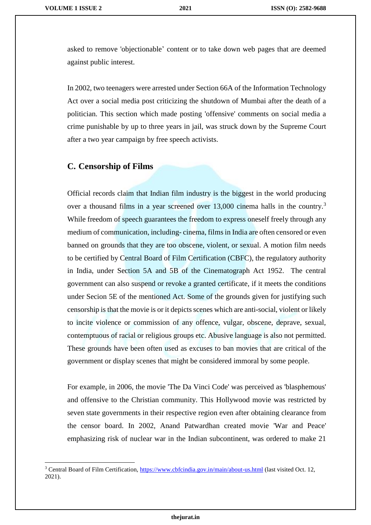$\overline{\phantom{a}}$ 

asked to remove 'objectionable' content or to take down web pages that are deemed against public interest.

In 2002, two teenagers were arrested under Section 66A of the Information Technology Act over a social media post criticizing the shutdown of Mumbai after the death of a politician. This section which made posting 'offensive' comments on social media a crime punishable by up to three years in jail, was struck down by the Supreme Court after a two year campaign by free speech activists.

# **C. Censorship of Films**

Official records claim that Indian film industry is the biggest in the world producing over a thousand films in a year screened over 13,000 cinema halls in the country.<sup>3</sup> While freedom of speech guarantees the freedom to express oneself freely through any medium of communication, including- cinema, films in India are often censored or even banned on grounds that they are too obscene, violent, or sexual. A motion film needs to be certified by Central Board of Film Certification (CBFC), the regulatory authority in India, under Section 5A and 5B of the Cinematograph Act 1952. The central government can also suspend or revoke a granted certificate, if it meets the conditions under Secion 5E of the mentioned Act. Some of the grounds given for justifying such censorship is that the movie is or it depicts scenes which are anti-social, violent or likely to incite violence or commission of any offence, vulgar, obscene, deprave, sexual, contemptuous of racial or religious groups etc. Abusive language is also not permitted. These grounds have been often used as excuses to ban movies that are critical of the government or display scenes that might be considered immoral by some people.

For example, in 2006, the movie 'The Da Vinci Code' was perceived as 'blasphemous' and offensive to the Christian community. This Hollywood movie was restricted by seven state governments in their respective region even after obtaining clearance from the censor board. In 2002, Anand Patwardhan created movie 'War and Peace' emphasizing risk of nuclear war in the Indian subcontinent, was ordered to make 21

**thejurat.in**

<sup>&</sup>lt;sup>3</sup> Central Board of Film Certification, <https://www.cbfcindia.gov.in/main/about-us.html> (last visited Oct. 12, 2021).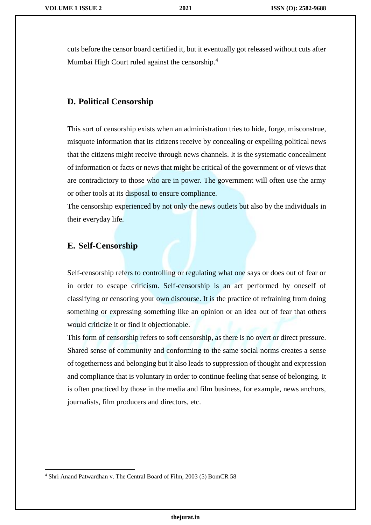cuts before the censor board certified it, but it eventually got released without cuts after Mumbai High Court ruled against the censorship.<sup>4</sup>

#### **D. Political Censorship**

This sort of censorship exists when an administration tries to hide, forge, misconstrue, misquote information that its citizens receive by concealing or expelling political news that the citizens might receive through news channels. It is the systematic concealment of information or facts or news that might be critical of the government or of views that are contradictory to those who are in power. The government will often use the army or other tools at its disposal to ensure compliance.

The censorship experienced by not only the news outlets but also by the individuals in their everyday life.

#### **E. Self-Censorship**

Self-censorship refers to controlling or regulating what one says or does out of fear or in order to escape criticism. Self-censorship is an act performed by oneself of classifying or censoring your own discourse. It is the practice of refraining from doing something or expressing something like an opinion or an idea out of fear that others would criticize it or find it objectionable.

This form of censorship refers to soft censorship, as there is no overt or direct pressure. Shared sense of community and conforming to the same social norms creates a sense of togetherness and belonging but it also leads to suppression of thought and expression and compliance that is voluntary in order to continue feeling that sense of belonging. It is often practiced by those in the media and film business, for example, news anchors, journalists, film producers and directors, etc.

<sup>4</sup> Shri Anand Patwardhan v. The Central Board of Film, 2003 (5) BomCR 58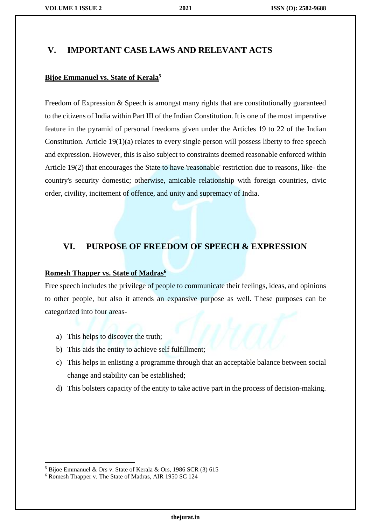#### **V. IMPORTANT CASE LAWS AND RELEVANT ACTS**

#### **Bijoe Emmanuel vs. State of Kerala<sup>5</sup>**

Freedom of Expression & Speech is amongst many rights that are constitutionally guaranteed to the citizens of India within Part III of the Indian Constitution. It is one of the most imperative feature in the pyramid of personal freedoms given under the Articles 19 to 22 of the Indian Constitution. Article 19(1)(a) relates to every single person will possess liberty to free speech and expression. However, this is also subject to constraints deemed reasonable enforced within Article 19(2) that encourages the State to have 'reasonable' restriction due to reasons, like- the country's security domestic; otherwise, amicable relationship with foreign countries, civic order, civility, incitement of offence, and unity and supremacy of India.

#### **VI. PURPOSE OF FREEDOM OF SPEECH & EXPRESSION**

#### **Romesh Thapper vs. State of Madras<sup>6</sup>**

Free speech includes the privilege of people to communicate their feelings, ideas, and opinions to other people, but also it attends an expansive purpose as well. These purposes can be categorized into four areas-

- a) This helps to discover the truth;
- b) This aids the entity to achieve self fulfillment;
- c) This helps in enlisting a programme through that an acceptable balance between social change and stability can be established;
- d) This bolsters capacity of the entity to take active part in the process of decision-making.

<sup>5</sup> Bijoe Emmanuel & Ors v. State of Kerala & Ors, 1986 SCR (3) 615

<sup>6</sup> Romesh Thapper v. The State of Madras, AIR 1950 SC 124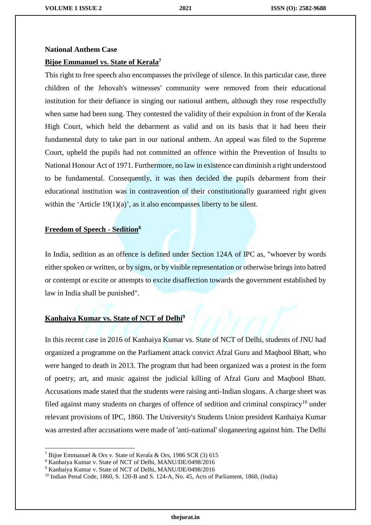# **National Anthem Case Bijoe Emmanuel vs. State of Kerala<sup>7</sup>**

This right to free speech also encompasses the privilege of silence. In this particular case, three children of the Jehovah's witnesses' community were removed from their educational institution for their defiance in singing our national anthem, although they rose respectfully when same had been sung. They contested the validity of their expulsion in front of the Kerala High Court, which held the debarment as valid and on its basis that it had been their fundamental duty to take part in our national anthem. An appeal was filed to the Supreme Court, upheld the pupils had not committed an offence within the Prevention of Insults to National Honour Act of 1971. Furthermore, no law in existence can diminish a right understood to be fundamental. Consequently, it was then decided the pupils debarment from their educational institution was in contravention of their constitutionally guaranteed right given within the 'Article  $19(1)(a)$ ', as it also encompasses liberty to be silent.

#### **Freedom of Speech - Sedition<sup>8</sup>**

In India, sedition as an offence is defined under Section 124A of IPC as, "whoever by words either spoken or written, or by signs, or by visible representation or otherwise brings into hatred or contempt or excite or attempts to excite disaffection towards the government established by law in India shall be punished".

#### **Kanhaiya Kumar vs. State of NCT of Delhi<sup>9</sup>**

In this recent case in 2016 of Kanhaiya Kumar vs. State of NCT of Delhi, students of JNU had organized a programme on the Parliament attack convict Afzal Guru and Maqbool Bhatt, who were hanged to death in 2013. The program that had been organized was a protest in the form of poetry, art, and music against the judicial killing of Afzal Guru and Maqbool Bhatt. Accusations made stated that the students were raising anti-Indian slogans. A charge sheet was filed against many students on charges of offence of sedition and criminal conspiracy<sup>10</sup> under relevant provisions of IPC, 1860. The University's Students Union president Kanhaiya Kumar was arrested after accusations were made of 'anti-national' sloganeering against him. The Delhi

<sup>7</sup> Bijoe Emmanuel & Ors v. State of Kerala & Ors, 1986 SCR (3) 615

<sup>8</sup> Kanhaiya Kumar v. State of NCT of Delhi, MANU/DE/0498/2016

<sup>9</sup> Kanhaiya Kumar v. State of NCT of Delhi, MANU/DE/0498/2016

<sup>10</sup> Indian Penal Code, 1860, S. 120-B and S. 124-A, No. 45, Acts of Parliament, 1860, (India)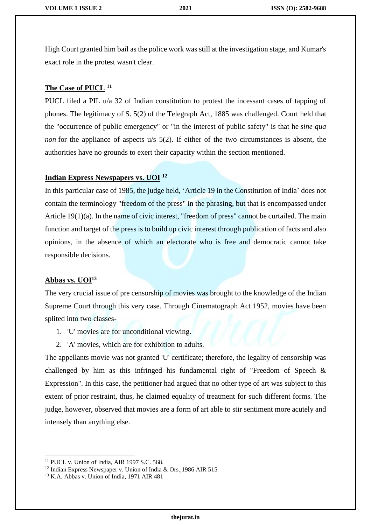High Court granted him bail as the police work was still at the investigation stage, and Kumar's exact role in the protest wasn't clear.

#### **The Case of PUCL <sup>11</sup>**

PUCL filed a PIL u/a 32 of Indian constitution to protest the incessant cases of tapping of phones. The legitimacy of S. 5(2) of the Telegraph Act, 1885 was challenged. Court held that the "occurrence of public emergency" or "in the interest of public safety" is that he *sine qua non* for the appliance of aspects u/s 5(2). If either of the two circumstances is absent, the authorities have no grounds to exert their capacity within the section mentioned.

#### **Indian Express Newspapers vs. UOI <sup>12</sup>**

In this particular case of 1985, the judge held, 'Article 19 in the Constitution of India' does not contain the terminology "freedom of the press" in the phrasing, but that is encompassed under Article 19(1)(a). In the name of civic interest, "freedom of press" cannot be curtailed. The main function and target of the press is to build up civic interest through publication of facts and also opinions, in the absence of which an electorate who is free and democratic cannot take responsible decisions.

#### **Abbas vs. UOI<sup>13</sup>**

The very crucial issue of pre censorship of movies was brought to the knowledge of the Indian Supreme Court through this very case. Through Cinematograph Act 1952, movies have been splited into two classes-

- 1. 'U' movies are for unconditional viewing.
- 2. 'A' movies, which are for exhibition to adults.

The appellants movie was not granted 'U' certificate; therefore, the legality of censorship was challenged by him as this infringed his fundamental right of "Freedom of Speech & Expression". In this case, the petitioner had argued that no other type of art was subject to this extent of prior restraint, thus, he claimed equality of treatment for such different forms. The judge, however, observed that movies are a form of art able to stir sentiment more acutely and intensely than anything else.

 $\overline{\phantom{a}}$ <sup>11</sup> PUCL v. Union of India, AIR 1997 S.C. 568.

<sup>&</sup>lt;sup>12</sup> Indian Express Newspaper v. Union of India & Ors., 1986 AIR 515

<sup>13</sup> K.A. Abbas v. Union of India, 1971 AIR 481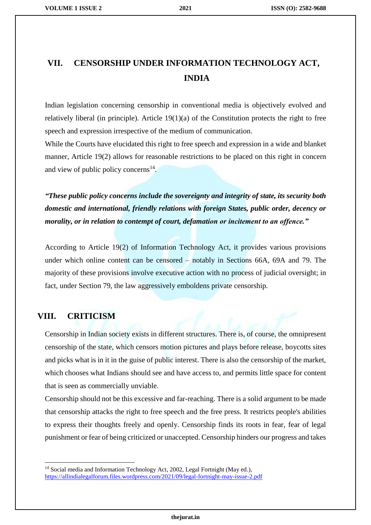# **VII. CENSORSHIP UNDER INFORMATION TECHNOLOGY ACT, INDIA**

Indian legislation concerning censorship in conventional media is objectively evolved and relatively liberal (in principle). Article 19(1)(a) of the Constitution protects the right to free speech and expression irrespective of the medium of communication.

While the Courts have elucidated this right to free speech and expression in a wide and blanket manner, Article 19(2) allows for reasonable restrictions to be placed on this right in concern and view of public policy concerns $^{14}$ .

*"These public policy concerns include the sovereignty and integrity of state, its security both domestic and international, friendly relations with foreign States, public order, decency or morality, or in relation to contempt of court, defamation or incitement to an offence."*

According to Article 19(2) of Information Technology Act, it provides various provisions under which online content can be censored – notably in Sections 66A, 69A and 79. The majority of these provisions involve executive action with no process of judicial oversight; in fact, under Section 79, the law aggressively emboldens private censorship.

### **VIII. CRITICISM**

 $\overline{\phantom{a}}$ 

Censorship in Indian society exists in different structures. There is, of course, the omnipresent censorship of the state, which censors motion pictures and plays before release, boycotts sites and picks what is in it in the guise of public interest. There is also the censorship of the market, which chooses what Indians should see and have access to, and permits little space for content that is seen as commercially unviable.

Censorship should not be this excessive and far-reaching. There is a solid argument to be made that censorship attacks the right to free speech and the free press. It restricts people's abilities to express their thoughts freely and openly. Censorship finds its roots in fear, fear of legal punishment or fear of being criticized or unaccepted. Censorship hinders our progress and takes

<sup>&</sup>lt;sup>14</sup> Social media and Information Technology Act, 2002, Legal Fortnight (May ed.), <https://allindialegalforum.files.wordpress.com/2021/09/legal-fortnight-may-issue-2.pdf>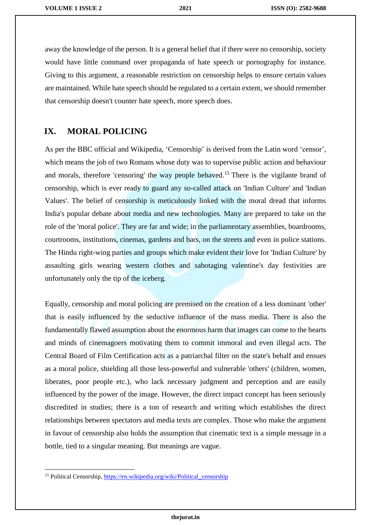away the knowledge of the person. It is a general belief that if there were no censorship, society would have little command over propaganda of hate speech or pornography for instance. Giving to this argument, a reasonable restriction on censorship helps to ensure certain values are maintained. While hate speech should be regulated to a certain extent, we should remember that censorship doesn't counter hate speech, more speech does.

#### **IX. MORAL POLICING**

As per the BBC official and Wikipedia, 'Censorship' is derived from the Latin word 'censor', which means the job of two Romans whose duty was to supervise public action and behaviour and morals, therefore 'censoring' the way people behaved.<sup>15</sup> There is the vigilante brand of censorship, which is ever ready to guard any so-called attack on 'Indian Culture' and 'Indian Values'. The belief of censorship is meticulously linked with the moral dread that informs India's popular debate about media and new technologies. Many are prepared to take on the role of the 'moral police'. They are far and wide; in the parliamentary assemblies, boardrooms, courtrooms, institutions, cinemas, gardens and bars, on the streets and even in police stations. The Hindu right-wing parties and groups which make evident their love for 'Indian Culture' by assaulting girls wearing western clothes and sabotaging valentine's day festivities are unfortunately only the tip of the iceberg.

Equally, censorship and moral policing are premised on the creation of a less dominant 'other' that is easily influenced by the seductive influence of the mass media. There is also the fundamentally flawed assumption about the enormous harm that images can come to the hearts and minds of cinemagoers motivating them to commit immoral and even illegal acts. The Central Board of Film Certification acts as a patriarchal filter on the state's behalf and ensues as a moral police, shielding all those less-powerful and vulnerable 'others' (children, women, liberates, poor people etc.), who lack necessary judgment and perception and are easily influenced by the power of the image. However, the direct impact concept has been seriously discredited in studies; there is a ton of research and writing which establishes the direct relationships between spectators and media texts are complex. Those who make the argument in favour of censorship also holds the assumption that cinematic text is a simple message in a bottle, tied to a singular meaning. But meanings are vague.

<sup>&</sup>lt;sup>15</sup> Political Censorship, https://en.wikipedia.org/wiki/Political censorship